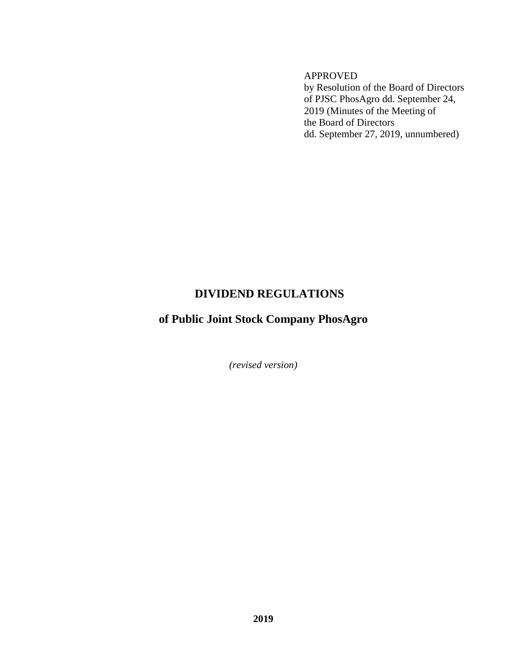APPROVED by Resolution of the Board of Directors of PJSC PhosAgro dd. September 24, 2019 (Minutes of the Meeting of the Board of Directors dd. September 27, 2019, unnumbered)

# **DIVIDEND REGULATIONS**

# **of Public Joint Stock Company PhosAgro**

*(revised version)*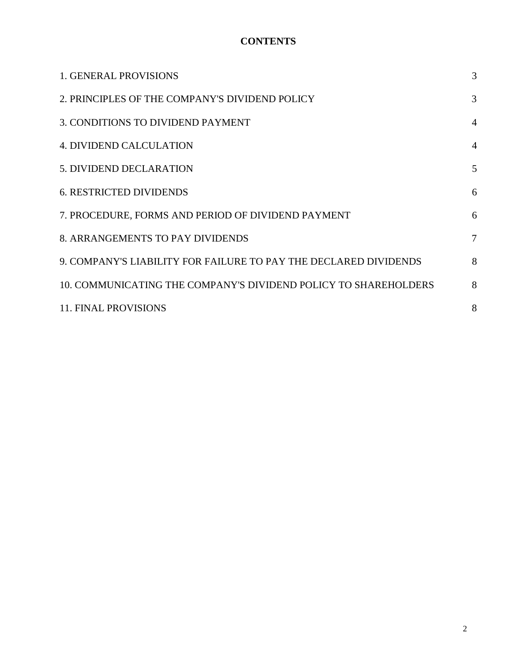# **CONTENTS**

| <b>1. GENERAL PROVISIONS</b>                                     | 3              |
|------------------------------------------------------------------|----------------|
| 2. PRINCIPLES OF THE COMPANY'S DIVIDEND POLICY                   | 3              |
| 3. CONDITIONS TO DIVIDEND PAYMENT                                | $\overline{4}$ |
| <b>4. DIVIDEND CALCULATION</b>                                   | $\overline{A}$ |
| 5. DIVIDEND DECLARATION                                          | 5              |
| <b>6. RESTRICTED DIVIDENDS</b>                                   | 6              |
| 7. PROCEDURE, FORMS AND PERIOD OF DIVIDEND PAYMENT               | 6              |
| 8. ARRANGEMENTS TO PAY DIVIDENDS                                 | 7              |
| 9. COMPANY'S LIABILITY FOR FAILURE TO PAY THE DECLARED DIVIDENDS | 8              |
| 10. COMMUNICATING THE COMPANY'S DIVIDEND POLICY TO SHAREHOLDERS  | 8              |
| <b>11. FINAL PROVISIONS</b>                                      | 8              |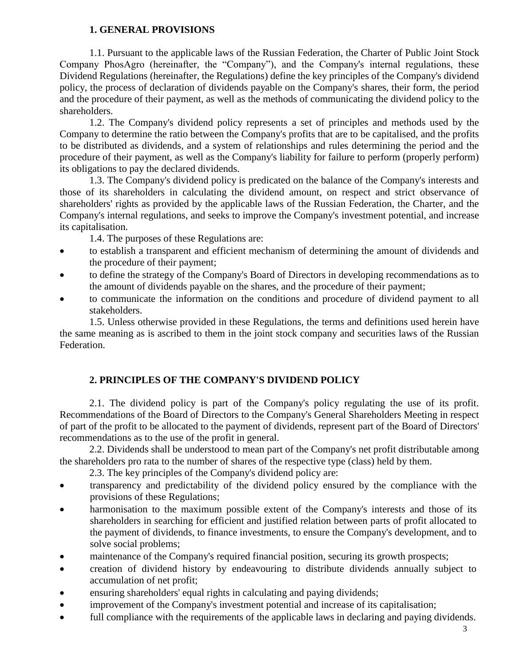### **1. GENERAL PROVISIONS**

1.1. Pursuant to the applicable laws of the Russian Federation, the Charter of Public Joint Stock Company PhosAgro (hereinafter, the "Company"), and the Company's internal regulations, these Dividend Regulations (hereinafter, the Regulations) define the key principles of the Company's dividend policy, the process of declaration of dividends payable on the Company's shares, their form, the period and the procedure of their payment, as well as the methods of communicating the dividend policy to the shareholders.

1.2. The Company's dividend policy represents a set of principles and methods used by the Company to determine the ratio between the Company's profits that are to be capitalised, and the profits to be distributed as dividends, and a system of relationships and rules determining the period and the procedure of their payment, as well as the Company's liability for failure to perform (properly perform) its obligations to pay the declared dividends.

1.3. The Company's dividend policy is predicated on the balance of the Company's interests and those of its shareholders in calculating the dividend amount, on respect and strict observance of shareholders' rights as provided by the applicable laws of the Russian Federation, the Charter, and the Company's internal regulations, and seeks to improve the Company's investment potential, and increase its capitalisation.

1.4. The purposes of these Regulations are:

- to establish a transparent and efficient mechanism of determining the amount of dividends and the procedure of their payment;
- to define the strategy of the Company's Board of Directors in developing recommendations as to the amount of dividends payable on the shares, and the procedure of their payment;
- to communicate the information on the conditions and procedure of dividend payment to all stakeholders.

1.5. Unless otherwise provided in these Regulations, the terms and definitions used herein have the same meaning as is ascribed to them in the joint stock company and securities laws of the Russian Federation.

# **2. PRINCIPLES OF THE COMPANY'S DIVIDEND POLICY**

2.1. The dividend policy is part of the Company's policy regulating the use of its profit. Recommendations of the Board of Directors to the Company's General Shareholders Meeting in respect of part of the profit to be allocated to the payment of dividends, represent part of the Board of Directors' recommendations as to the use of the profit in general.

2.2. Dividends shall be understood to mean part of the Company's net profit distributable among the shareholders pro rata to the number of shares of the respective type (class) held by them.

- 2.3. The key principles of the Company's dividend policy are:
- transparency and predictability of the dividend policy ensured by the compliance with the provisions of these Regulations;
- harmonisation to the maximum possible extent of the Company's interests and those of its shareholders in searching for efficient and justified relation between parts of profit allocated to the payment of dividends, to finance investments, to ensure the Company's development, and to solve social problems;
- maintenance of the Company's required financial position, securing its growth prospects;
- creation of dividend history by endeavouring to distribute dividends annually subject to accumulation of net profit;
- ensuring shareholders' equal rights in calculating and paying dividends;
- improvement of the Company's investment potential and increase of its capitalisation;
- full compliance with the requirements of the applicable laws in declaring and paying dividends.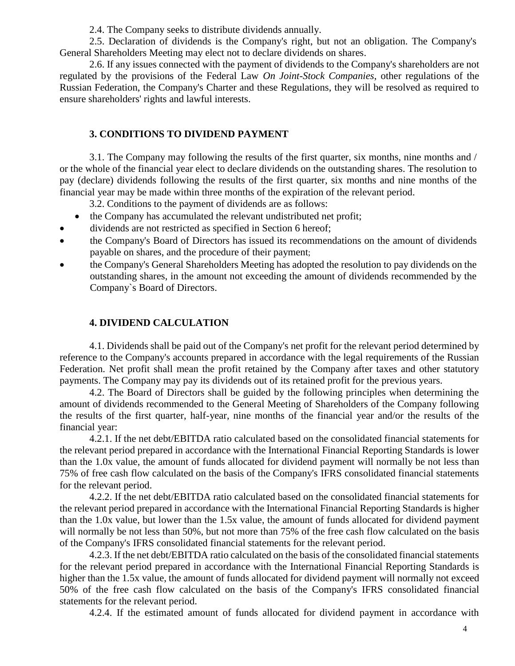2.4. The Company seeks to distribute dividends annually.

2.5. Declaration of dividends is the Company's right, but not an obligation. The Company's General Shareholders Meeting may elect not to declare dividends on shares.

2.6. If any issues connected with the payment of dividends to the Company's shareholders are not regulated by the provisions of the Federal Law *On Joint-Stock Companies*, other regulations of the Russian Federation, the Company's Charter and these Regulations, they will be resolved as required to ensure shareholders' rights and lawful interests.

# **3. CONDITIONS TO DIVIDEND PAYMENT**

3.1. The Company may following the results of the first quarter, six months, nine months and / or the whole of the financial year elect to declare dividends on the outstanding shares. The resolution to pay (declare) dividends following the results of the first quarter, six months and nine months of the financial year may be made within three months of the expiration of the relevant period.

3.2. Conditions to the payment of dividends are as follows:

- the Company has accumulated the relevant undistributed net profit;
- dividends are not restricted as specified in Section 6 hereof;
- the Company's Board of Directors has issued its recommendations on the amount of dividends payable on shares, and the procedure of their payment;
- the Company's General Shareholders Meeting has adopted the resolution to pay dividends on the outstanding shares, in the amount not exceeding the amount of dividends recommended by the Company`s Board of Directors.

# **4. DIVIDEND CALCULATION**

4.1. Dividends shall be paid out of the Company's net profit for the relevant period determined by reference to the Company's accounts prepared in accordance with the legal requirements of the Russian Federation. Net profit shall mean the profit retained by the Company after taxes and other statutory payments. The Company may pay its dividends out of its retained profit for the previous years.

4.2. The Board of Directors shall be guided by the following principles when determining the amount of dividends recommended to the General Meeting of Shareholders of the Company following the results of the first quarter, half-year, nine months of the financial year and/or the results of the financial year:

4.2.1. If the net debt/EBITDA ratio calculated based on the consolidated financial statements for the relevant period prepared in accordance with the International Financial Reporting Standards is lower than the 1.0x value, the amount of funds allocated for dividend payment will normally be not less than 75% of free cash flow calculated on the basis of the Company's IFRS consolidated financial statements for the relevant period.

4.2.2. If the net debt/EBITDA ratio calculated based on the consolidated financial statements for the relevant period prepared in accordance with the International Financial Reporting Standards is higher than the 1.0x value, but lower than the 1.5x value, the amount of funds allocated for dividend payment will normally be not less than 50%, but not more than 75% of the free cash flow calculated on the basis of the Company's IFRS consolidated financial statements for the relevant period.

4.2.3. If the net debt/EBITDA ratio calculated on the basis of the consolidated financial statements for the relevant period prepared in accordance with the International Financial Reporting Standards is higher than the 1.5x value, the amount of funds allocated for dividend payment will normally not exceed 50% of the free cash flow calculated on the basis of the Company's IFRS consolidated financial statements for the relevant period.

4.2.4. If the estimated amount of funds allocated for dividend payment in accordance with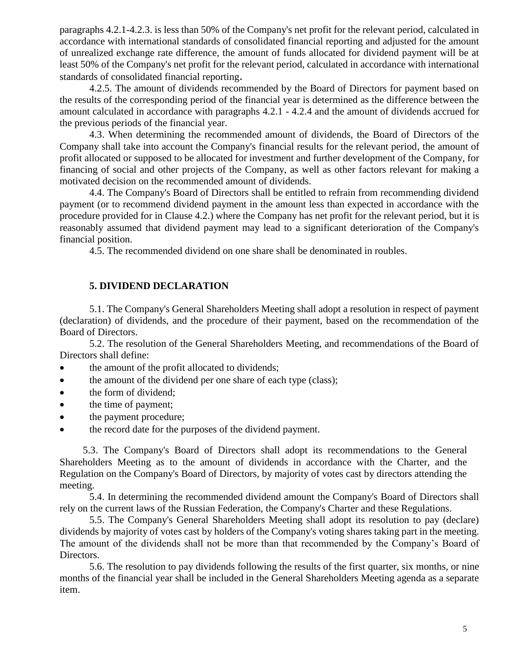paragraphs 4.2.1-4.2.3. is less than 50% of the Company's net profit for the relevant period, calculated in accordance with international standards of consolidated financial reporting and adjusted for the amount of unrealized exchange rate difference, the amount of funds allocated for dividend payment will be at least 50% of the Company's net profit for the relevant period, calculated in accordance with international standards of consolidated financial reporting.

4.2.5. The amount of dividends recommended by the Board of Directors for payment based on the results of the corresponding period of the financial year is determined as the difference between the amount calculated in accordance with paragraphs 4.2.1 - 4.2.4 and the amount of dividends accrued for the previous periods of the financial year.

4.3. When determining the recommended amount of dividends, the Board of Directors of the Company shall take into account the Company's financial results for the relevant period, the amount of profit allocated or supposed to be allocated for investment and further development of the Company, for financing of social and other projects of the Company, as well as other factors relevant for making a motivated decision on the recommended amount of dividends.

4.4. The Company's Board of Directors shall be entitled to refrain from recommending dividend payment (or to recommend dividend payment in the amount less than expected in accordance with the procedure provided for in Clause 4.2.) where the Company has net profit for the relevant period, but it is reasonably assumed that dividend payment may lead to a significant deterioration of the Company's financial position.

4.5. The recommended dividend on one share shall be denominated in roubles.

#### **5. DIVIDEND DECLARATION**

5.1. The Company's General Shareholders Meeting shall adopt a resolution in respect of payment (declaration) of dividends, and the procedure of their payment, based on the recommendation of the Board of Directors.

5.2. The resolution of the General Shareholders Meeting, and recommendations of the Board of Directors shall define:

- the amount of the profit allocated to dividends;
- the amount of the dividend per one share of each type (class);
- the form of dividend;
- the time of payment;
- the payment procedure;
- the record date for the purposes of the dividend payment.

 5.3. The Company's Board of Directors shall adopt its recommendations to the General Shareholders Meeting as to the amount of dividends in accordance with the Charter, and the Regulation on the Company's Board of Directors, by majority of votes cast by directors attending the meeting.

5.4. In determining the recommended dividend amount the Company's Board of Directors shall rely on the current laws of the Russian Federation, the Company's Charter and these Regulations.

5.5. The Company's General Shareholders Meeting shall adopt its resolution to pay (declare) dividends by majority of votes cast by holders of the Company's voting shares taking part in the meeting. The amount of the dividends shall not be more than that recommended by the Company's Board of Directors.

5.6. The resolution to pay dividends following the results of the first quarter, six months, or nine months of the financial year shall be included in the General Shareholders Meeting agenda as a separate item.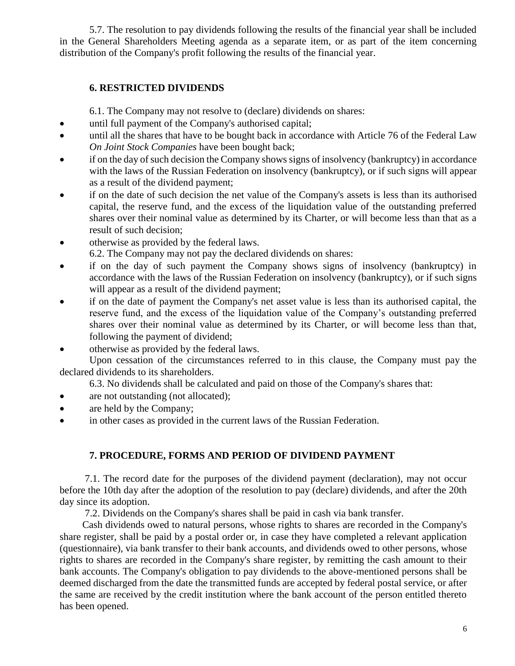5.7. The resolution to pay dividends following the results of the financial year shall be included in the General Shareholders Meeting agenda as a separate item, or as part of the item concerning distribution of the Company's profit following the results of the financial year.

## **6. RESTRICTED DIVIDENDS**

6.1. The Company may not resolve to (declare) dividends on shares:

- until full payment of the Company's authorised capital;
- until all the shares that have to be bought back in accordance with Article 76 of the Federal Law *On Joint Stock Companies* have been bought back;
- if on the day of such decision the Company shows signs of insolvency (bankruptcy) in accordance with the laws of the Russian Federation on insolvency (bankruptcy), or if such signs will appear as a result of the dividend payment;
- if on the date of such decision the net value of the Company's assets is less than its authorised capital, the reserve fund, and the excess of the liquidation value of the outstanding preferred shares over their nominal value as determined by its Charter, or will become less than that as a result of such decision;
- otherwise as provided by the federal laws.
	- 6.2. The Company may not pay the declared dividends on shares:
- if on the day of such payment the Company shows signs of insolvency (bankruptcy) in accordance with the laws of the Russian Federation on insolvency (bankruptcy), or if such signs will appear as a result of the dividend payment;
- if on the date of payment the Company's net asset value is less than its authorised capital, the reserve fund, and the excess of the liquidation value of the Company's outstanding preferred shares over their nominal value as determined by its Charter, or will become less than that, following the payment of dividend;
- otherwise as provided by the federal laws.

Upon cessation of the circumstances referred to in this clause, the Company must pay the declared dividends to its shareholders.

6.3. No dividends shall be calculated and paid on those of the Company's shares that:

- are not outstanding (not allocated);
- are held by the Company;
- in other cases as provided in the current laws of the Russian Federation.

# **7. PROCEDURE, FORMS AND PERIOD OF DIVIDEND PAYMENT**

 7.1. The record date for the purposes of the dividend payment (declaration), may not occur before the 10th day after the adoption of the resolution to pay (declare) dividends, and after the 20th day since its adoption.

7.2. Dividends on the Company's shares shall be paid in cash via bank transfer.

Cash dividends owed to natural persons, whose rights to shares are recorded in the Company's share register, shall be paid by a postal order or, in case they have completed a relevant application (questionnaire), via bank transfer to their bank accounts, and dividends owed to other persons, whose rights to shares are recorded in the Company's share register, by remitting the cash amount to their bank accounts. The Company's obligation to pay dividends to the above-mentioned persons shall be deemed discharged from the date the transmitted funds are accepted by federal postal service, or after the same are received by the credit institution where the bank account of the person entitled thereto has been opened.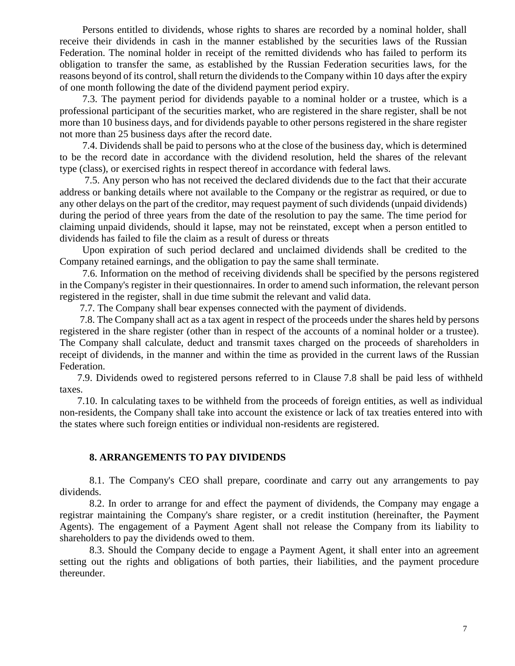Persons entitled to dividends, whose rights to shares are recorded by a nominal holder, shall receive their dividends in cash in the manner established by the securities laws of the Russian Federation. The nominal holder in receipt of the remitted dividends who has failed to perform its obligation to transfer the same, as established by the Russian Federation securities laws, for the reasons beyond of its control, shall return the dividends to the Company within 10 days after the expiry of one month following the date of the dividend payment period expiry.

7.3. The payment period for dividends payable to a nominal holder or a trustee, which is a professional participant of the securities market, who are registered in the share register, shall be not more than 10 business days, and for dividends payable to other persons registered in the share register not more than 25 business days after the record date.

7.4. Dividends shall be paid to persons who at the close of the business day, which is determined to be the record date in accordance with the dividend resolution, held the shares of the relevant type (class), or exercised rights in respect thereof in accordance with federal laws.

7.5. Any person who has not received the declared dividends due to the fact that their accurate address or banking details where not available to the Company or the registrar as required, or due to any other delays on the part of the creditor, may request payment of such dividends (unpaid dividends) during the period of three years from the date of the resolution to pay the same. The time period for claiming unpaid dividends, should it lapse, may not be reinstated, except when a person entitled to dividends has failed to file the claim as a result of duress or threats

Upon expiration of such period declared and unclaimed dividends shall be credited to the Company retained earnings, and the obligation to pay the same shall terminate.

 7.6. Information on the method of receiving dividends shall be specified by the persons registered in the Company's register in their questionnaires. In order to amend such information, the relevant person registered in the register, shall in due time submit the relevant and valid data.

7.7. The Company shall bear expenses connected with the payment of dividends.

 7.8. The Company shall act as a tax agent in respect of the proceeds under the shares held by persons registered in the share register (other than in respect of the accounts of a nominal holder or a trustee). The Company shall calculate, deduct and transmit taxes charged on the proceeds of shareholders in receipt of dividends, in the manner and within the time as provided in the current laws of the Russian Federation.

 7.9. Dividends owed to registered persons referred to in Clause 7.8 shall be paid less of withheld taxes.

 7.10. In calculating taxes to be withheld from the proceeds of foreign entities, as well as individual non-residents, the Company shall take into account the existence or lack of tax treaties entered into with the states where such foreign entities or individual non-residents are registered.

#### **8. ARRANGEMENTS TO PAY DIVIDENDS**

8.1. The Company's CEO shall prepare, coordinate and carry out any arrangements to pay dividends.

8.2. In order to arrange for and effect the payment of dividends, the Company may engage a registrar maintaining the Company's share register, or a credit institution (hereinafter, the Payment Agents). The engagement of a Payment Agent shall not release the Company from its liability to shareholders to pay the dividends owed to them.

8.3. Should the Company decide to engage a Payment Agent, it shall enter into an agreement setting out the rights and obligations of both parties, their liabilities, and the payment procedure thereunder.